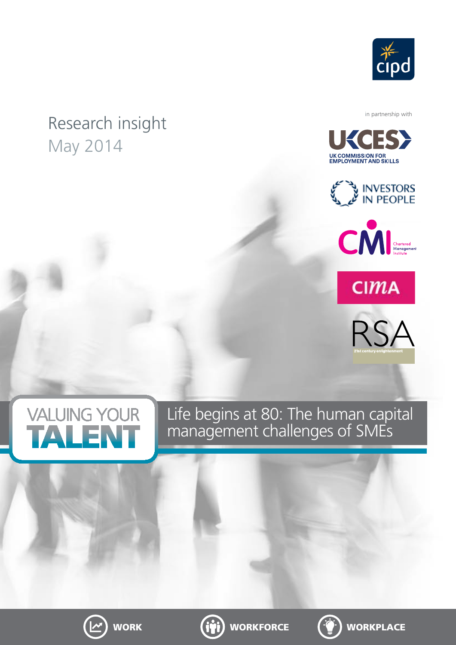

## Research insight May 2014

in partnership with













Life begins at 80: The human capital management challenges of SMEs





WORK (ivi) WORKFORCE ( $\hat{\mathbf{C}}$ ) WORKPLACE

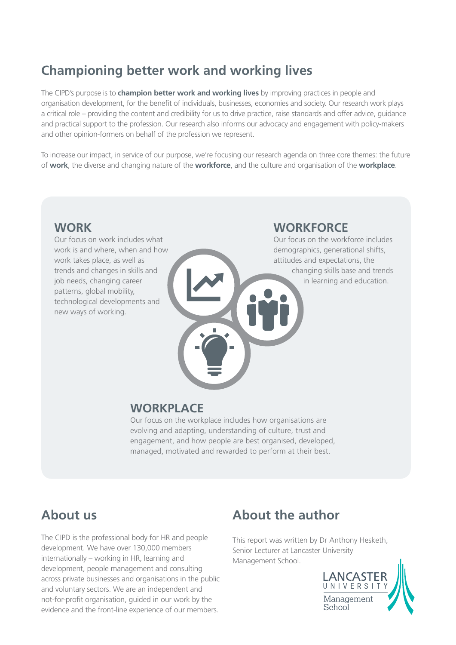## **Championing better work and working lives**

The CIPD's purpose is to **champion better work and working lives** by improving practices in people and organisation development, for the benefit of individuals, businesses, economies and society. Our research work plays a critical role – providing the content and credibility for us to drive practice, raise standards and offer advice, guidance and practical support to the profession. Our research also informs our advocacy and engagement with policy-makers and other opinion-formers on behalf of the profession we represent.

To increase our impact, in service of our purpose, we're focusing our research agenda on three core themes: the future of **work**, the diverse and changing nature of the **workforce**, and the culture and organisation of the **workplace**.

### **WORK**

Our focus on work includes what work is and where, when and how work takes place, as well as trends and changes in skills and job needs, changing career patterns, global mobility, technological developments and new ways of working.

## **WORKFORCE**

Our focus on the workforce includes demographics, generational shifts, attitudes and expectations, the changing skills base and trends in learning and education.

### **WORKPLACE**

Our focus on the workplace includes how organisations are evolving and adapting, understanding of culture, trust and engagement, and how people are best organised, developed, managed, motivated and rewarded to perform at their best.

## **About us**

The CIPD is the professional body for HR and people development. We have over 130,000 members internationally – working in HR, learning and development, people management and consulting across private businesses and organisations in the public and voluntary sectors. We are an independent and not-for-profit organisation, guided in our work by the evidence and the front-line experience of our members.

## **About the author**

This report was written by Dr Anthony Hesketh, Senior Lecturer at Lancaster University Management School.

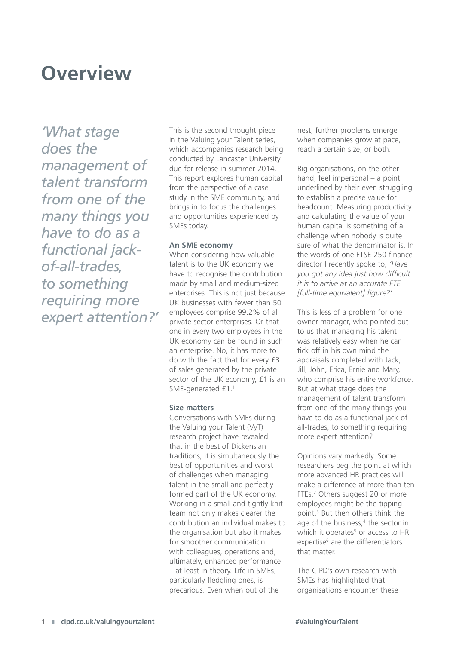## **Overview**

*'What stage does the management of talent transform from one of the many things you have to do as a functional jackof-all-trades, to something requiring more expert attention?'*

This is the second thought piece in the Valuing your Talent series, which accompanies research being conducted by Lancaster University due for release in summer 2014. This report explores human capital from the perspective of a case study in the SME community, and brings in to focus the challenges and opportunities experienced by SMEs today.

### **An SME economy**

When considering how valuable talent is to the UK economy we have to recognise the contribution made by small and medium-sized enterprises. This is not just because UK businesses with fewer than 50 employees comprise 99.2% of all private sector enterprises. Or that one in every two employees in the UK economy can be found in such an enterprise. No, it has more to do with the fact that for every £3 of sales generated by the private sector of the UK economy, £1 is an SME-generated £1.1

### **Size matters**

Conversations with SMEs during the Valuing your Talent (VyT) research project have revealed that in the best of Dickensian traditions, it is simultaneously the best of opportunities and worst of challenges when managing talent in the small and perfectly formed part of the UK economy. Working in a small and tightly knit team not only makes clearer the contribution an individual makes to the organisation but also it makes for smoother communication with colleagues, operations and, ultimately, enhanced performance – at least in theory. Life in SMEs, particularly fledgling ones, is precarious. Even when out of the

nest, further problems emerge when companies grow at pace, reach a certain size, or both.

Big organisations, on the other hand, feel impersonal – a point underlined by their even struggling to establish a precise value for headcount. Measuring productivity and calculating the value of your human capital is something of a challenge when nobody is quite sure of what the denominator is. In the words of one FTSE 250 finance director I recently spoke to, *'Have you got any idea just how difficult it is to arrive at an accurate FTE [full-time equivalent] figure?'*

This is less of a problem for one owner-manager, who pointed out to us that managing his talent was relatively easy when he can tick off in his own mind the appraisals completed with Jack, Jill, John, Erica, Ernie and Mary, who comprise his entire workforce. But at what stage does the management of talent transform from one of the many things you have to do as a functional jack-ofall-trades, to something requiring more expert attention?

Opinions vary markedly. Some researchers peg the point at which more advanced HR practices will make a difference at more than ten FTEs.<sup>2</sup> Others suggest 20 or more employees might be the tipping point.3 But then others think the age of the business, $4$  the sector in which it operates<sup>5</sup> or access to HR expertise<sup>6</sup> are the differentiators that matter.

The CIPD's own research with SMEs has highlighted that organisations encounter these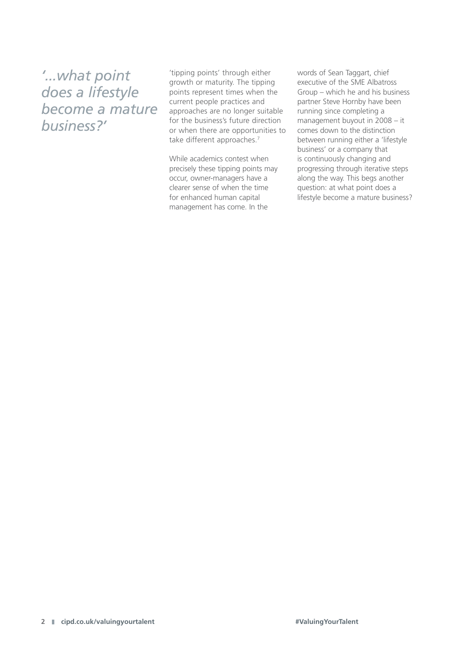*'...what point does a lifestyle become a mature business?'*

'tipping points' through either growth or maturity. The tipping points represent times when the current people practices and approaches are no longer suitable for the business's future direction or when there are opportunities to take different approaches.<sup>7</sup>

While academics contest when precisely these tipping points may occur, owner-managers have a clearer sense of when the time for enhanced human capital management has come. In the

words of Sean Taggart, chief executive of the SME Albatross Group – which he and his business partner Steve Hornby have been running since completing a management buyout in 2008 – it comes down to the distinction between running either a 'lifestyle business' or a company that is continuously changing and progressing through iterative steps along the way. This begs another question: at what point does a lifestyle become a mature business?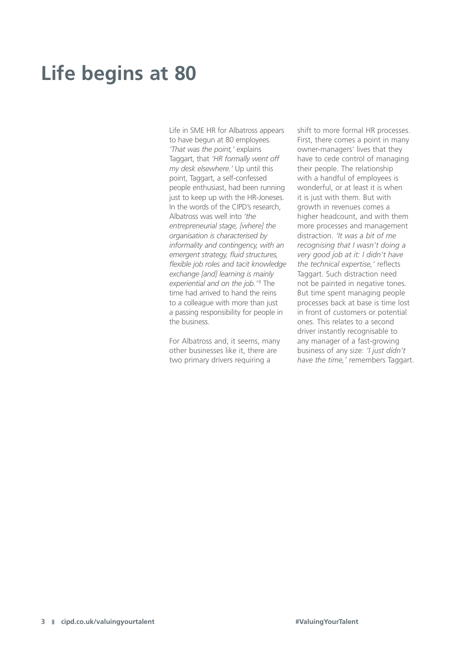# **Life begins at 80**

Life in SME HR for Albatross appears to have begun at 80 employees. *'That was the point,'* explains Taggart, that *'HR formally went off my desk elsewhere.'* Up until this point, Taggart, a self-confessed people enthusiast, had been running just to keep up with the HR-Joneses. In the words of the CIPD's research Albatross was well into *'the entrepreneurial stage, [where] the organisation is characterised by informality and contingency, with an emergent strategy, fluid structures, flexible job roles and tacit knowledge exchange [and] learning is mainly*  experiential and on the job.<sup>'8</sup> The time had arrived to hand the reins to a colleague with more than just a passing responsibility for people in the business.

For Albatross and, it seems, many other businesses like it, there are two primary drivers requiring a

shift to more formal HR processes. First, there comes a point in many owner-managers' lives that they have to cede control of managing their people. The relationship with a handful of employees is wonderful, or at least it is when it is just with them. But with growth in revenues comes a higher headcount, and with them more processes and management distraction. *'It was a bit of me recognising that I wasn't doing a very good job at it: I didn't have the technical expertise,'* reflects Taggart. Such distraction need not be painted in negative tones. But time spent managing people processes back at base is time lost in front of customers or potential ones. This relates to a second driver instantly recognisable to any manager of a fast-growing business of any size: *'I just didn't have the time,'* remembers Taggart.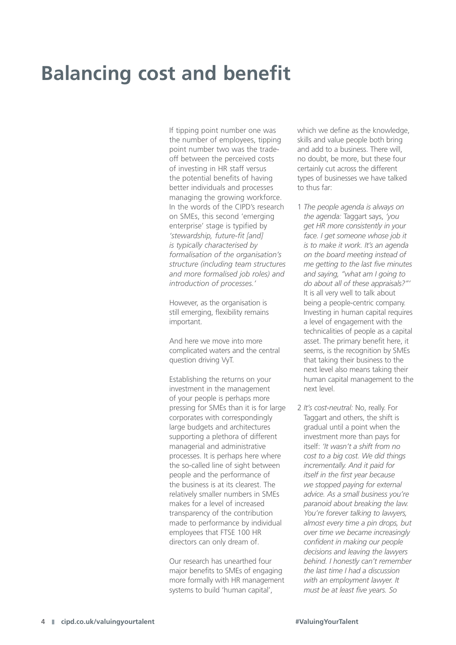# **Balancing cost and benefit**

If tipping point number one was the number of employees, tipping point number two was the tradeoff between the perceived costs of investing in HR staff versus the potential benefits of having better individuals and processes managing the growing workforce. In the words of the CIPD's research on SMEs, this second 'emerging enterprise' stage is typified by *'stewardship, future-fit [and] is typically characterised by formalisation of the organisation's structure (including team structures and more formalised job roles) and introduction of processes.'* 

However, as the organisation is still emerging, flexibility remains important.

And here we move into more complicated waters and the central question driving VyT.

Establishing the returns on your investment in the management of your people is perhaps more pressing for SMEs than it is for large corporates with correspondingly large budgets and architectures supporting a plethora of different managerial and administrative processes. It is perhaps here where the so-called line of sight between people and the performance of the business is at its clearest. The relatively smaller numbers in SMEs makes for a level of increased transparency of the contribution made to performance by individual employees that FTSE 100 HR directors can only dream of.

Our research has unearthed four major benefits to SMEs of engaging more formally with HR management systems to build 'human capital',

which we define as the knowledge, skills and value people both bring and add to a business. There will, no doubt, be more, but these four certainly cut across the different types of businesses we have talked to thus far:

- 1 *The people agenda is always on the agenda:* Taggart says, *'you get HR more consistently in your face. I get someone whose job it is to make it work. It's an agenda on the board meeting instead of me getting to the last five minutes and saying, "what am I going to do about all of these appraisals?"'*  It is all very well to talk about being a people-centric company. Investing in human capital requires a level of engagement with the technicalities of people as a capital asset. The primary benefit here, it seems, is the recognition by SMEs that taking their business to the next level also means taking their human capital management to the next level.
- 2 *It's cost-neutral:* No, really. For Taggart and others, the shift is gradual until a point when the investment more than pays for itself: *'It wasn't a shift from no cost to a big cost. We did things incrementally. And it paid for itself in the first year because we stopped paying for external advice. As a small business you're paranoid about breaking the law. You're forever talking to lawyers, almost every time a pin drops, but over time we became increasingly confident in making our people decisions and leaving the lawyers behind. I honestly can't remember the last time I had a discussion with an employment lawyer. It must be at least five years. So*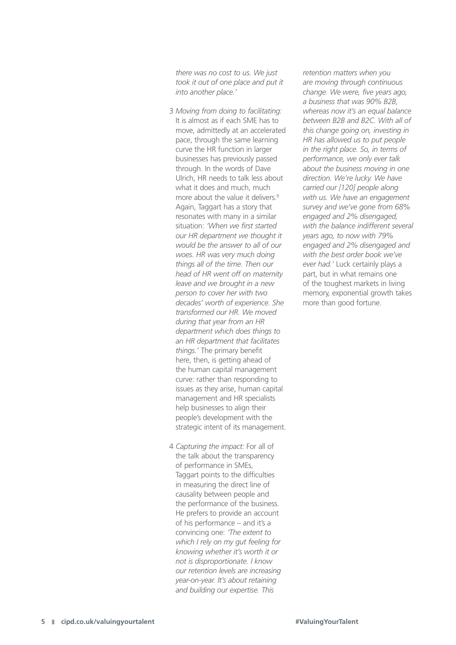*there was no cost to us. We just took it out of one place and put it into another place.'*

- 3 *Moving from doing to facilitating:* It is almost as if each SME has to move, admittedly at an accelerated pace, through the same learning curve the HR function in larger businesses has previously passed through. In the words of Dave Ulrich, HR needs to talk less about what it does and much, much more about the value it delivers.<sup>9</sup> Again, Taggart has a story that resonates with many in a similar situation: *'When we first started our HR department we thought it would be the answer to all of our woes. HR was very much doing things all of the time. Then our head of HR went off on maternity leave and we brought in a new person to cover her with two decades' worth of experience. She transformed our HR. We moved during that year from an HR department which does things to an HR department that facilitates things.'* The primary benefit here, then, is getting ahead of the human capital management curve: rather than responding to issues as they arise, human capital management and HR specialists help businesses to align their people's development with the strategic intent of its management.
- 4 *Capturing the impact:* For all of the talk about the transparency of performance in SMEs, Taggart points to the difficulties in measuring the direct line of causality between people and the performance of the business. He prefers to provide an account of his performance – and it's a convincing one: *'The extent to which I rely on my gut feeling for knowing whether it's worth it or not is disproportionate. I know our retention levels are increasing year-on-year. It's about retaining and building our expertise. This*

*retention matters when you are moving through continuous change. We were, five years ago, a business that was 90% B2B, whereas now it's an equal balance between B2B and B2C. With all of this change going on, investing in HR has allowed us to put people in the right place. So, in terms of performance, we only ever talk about the business moving in one direction. We're lucky. We have carried our [120] people along with us. We have an engagement survey and we've gone from 68% engaged and 2% disengaged, with the balance indifferent several years ago, to now with 79% engaged and 2% disengaged and with the best order book we've ever had.'* Luck certainly plays a part, but in what remains one of the toughest markets in living memory, exponential growth takes more than good fortune.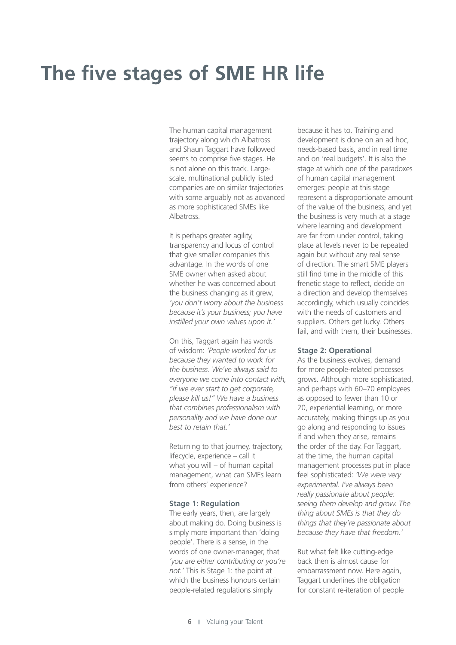# **The five stages of SME HR life**

The human capital management trajectory along which Albatross and Shaun Taggart have followed seems to comprise five stages. He is not alone on this track. Largescale, multinational publicly listed companies are on similar trajectories with some arguably not as advanced as more sophisticated SMEs like **Albatross** 

It is perhaps greater agility, transparency and locus of control that give smaller companies this advantage. In the words of one SME owner when asked about whether he was concerned about the business changing as it grew, *'you don't worry about the business because it's your business; you have instilled your own values upon it.'* 

On this, Taggart again has words of wisdom: *'People worked for us because they wanted to work for the business. We've always said to everyone we come into contact with, "if we ever start to get corporate, please kill us!" We have a business that combines professionalism with personality and we have done our best to retain that.'*

Returning to that journey, trajectory, lifecycle, experience – call it what you will – of human capital management, what can SMEs learn from others' experience?

### **Stage 1: Regulation**

The early years, then, are largely about making do. Doing business is simply more important than 'doing people'. There is a sense, in the words of one owner-manager, that *'you are either contributing or you're not.'* This is Stage 1: the point at which the business honours certain people-related regulations simply

because it has to. Training and development is done on an ad hoc, needs-based basis, and in real time and on 'real budgets'. It is also the stage at which one of the paradoxes of human capital management emerges: people at this stage represent a disproportionate amount of the value of the business, and yet the business is very much at a stage where learning and development are far from under control, taking place at levels never to be repeated again but without any real sense of direction. The smart SME players still find time in the middle of this frenetic stage to reflect, decide on a direction and develop themselves accordingly, which usually coincides with the needs of customers and suppliers. Others get lucky. Others fail, and with them, their businesses.

### **Stage 2: Operational**

As the business evolves, demand for more people-related processes grows. Although more sophisticated, and perhaps with 60–70 employees as opposed to fewer than 10 or 20, experiential learning, or more accurately, making things up as you go along and responding to issues if and when they arise, remains the order of the day. For Taggart, at the time, the human capital management processes put in place feel sophisticated: *'We were very experimental. I've always been really passionate about people: seeing them develop and grow. The thing about SMEs is that they do things that they're passionate about because they have that freedom.'* 

But what felt like cutting-edge back then is almost cause for embarrassment now. Here again, Taggart underlines the obligation for constant re-iteration of people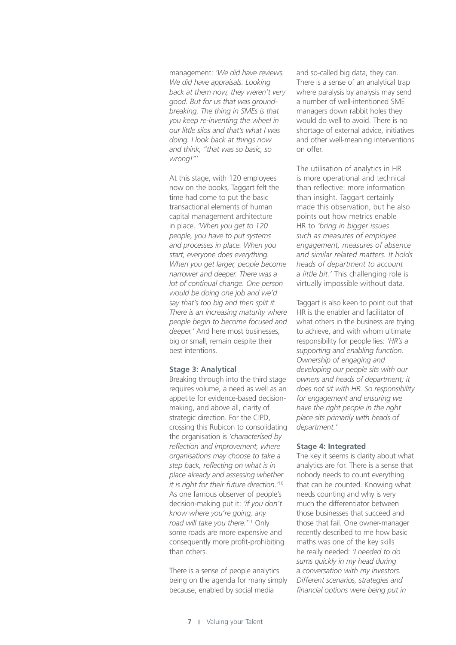management: *'We did have reviews. We did have appraisals. Looking back at them now, they weren't very good. But for us that was groundbreaking. The thing in SMEs is that you keep re-inventing the wheel in our little silos and that's what I was doing. I look back at things now and think, "that was so basic, so wrong!"'*

At this stage, with 120 employees now on the books, Taggart felt the time had come to put the basic transactional elements of human capital management architecture in place. *'When you get to 120 people, you have to put systems and processes in place. When you start, everyone does everything. When you get larger, people become narrower and deeper. There was a lot of continual change. One person would be doing one job and we'd say that's too big and then split it. There is an increasing maturity where people begin to become focused and deeper.'* And here most businesses, big or small, remain despite their best intentions.

### **Stage 3: Analytical**

Breaking through into the third stage requires volume, a need as well as an appetite for evidence-based decisionmaking, and above all, clarity of strategic direction. For the CIPD, crossing this Rubicon to consolidating the organisation is *'characterised by reflection and improvement, where organisations may choose to take a step back, reflecting on what is in place already and assessing whether it is right for their future direction.'*<sup>10</sup> As one famous observer of people's decision-making put it: *'if you don't know where you're going, any road will take you there.'*11 Only some roads are more expensive and consequently more profit-prohibiting than others.

There is a sense of people analytics being on the agenda for many simply because, enabled by social media

and so-called big data, they can. There is a sense of an analytical trap where paralysis by analysis may send a number of well-intentioned SME managers down rabbit holes they would do well to avoid. There is no shortage of external advice, initiatives and other well-meaning interventions on offer.

The utilisation of analytics in HR is more operational and technical than reflective: more information than insight. Taggart certainly made this observation, but he also points out how metrics enable HR to *'bring in bigger issues such as measures of employee engagement, measures of absence and similar related matters. It holds heads of department to account a little bit.'* This challenging role is virtually impossible without data.

Taggart is also keen to point out that HR is the enabler and facilitator of what others in the business are trying to achieve, and with whom ultimate responsibility for people lies: *'HR's a supporting and enabling function. Ownership of engaging and developing our people sits with our owners and heads of department; it does not sit with HR. So responsibility for engagement and ensuring we have the right people in the right place sits primarily with heads of department.'*

#### **Stage 4: Integrated**

The key it seems is clarity about what analytics are for. There is a sense that nobody needs to count everything that can be counted. Knowing what needs counting and why is very much the differentiator between those businesses that succeed and those that fail. One owner-manager recently described to me how basic maths was one of the key skills he really needed: *'I needed to do sums quickly in my head during a conversation with my investors. Different scenarios, strategies and financial options were being put in*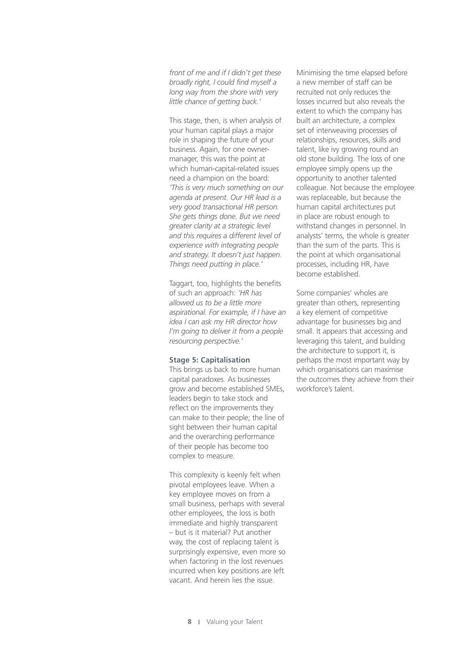*front of me and if I didn't get these broadly right, I could find myself a long way from the shore with very little chance of getting back.'*

This stage, then, is when analysis of your human capital plays a major role in shaping the future of your business. Again, for one ownermanager, this was the point at which human-capital-related issues need a champion on the board: *'This is very much something on our agenda at present. Our HR lead is a very good transactional HR person. She gets things done. But we need greater clarity at a strategic level and this requires a different level of experience with integrating people and strategy. It doesn't just happen. Things need putting in place.'*

Taggart, too, highlights the benefits of such an approach: *'HR has allowed us to be a little more aspirational. For example, if I have an idea I can ask my HR director how I'm going to deliver it from a people resourcing perspective.'*

### **Stage 5: Capitalisation**

This brings us back to more human capital paradoxes. As businesses grow and become established SMEs, leaders begin to take stock and reflect on the improvements they can make to their people; the line of sight between their human capital and the overarching performance of their people has become too complex to measure.

This complexity is keenly felt when pivotal employees leave. When a key employee moves on from a small business, perhaps with several other employees, the loss is both immediate and highly transparent – but is it material? Put another way, the cost of replacing talent is surprisingly expensive, even more so when factoring in the lost revenues incurred when key positions are left vacant. And herein lies the issue.

Minimising the time elapsed before a new member of staff can be recruited not only reduces the losses incurred but also reveals the extent to which the company has built an architecture, a complex set of interweaving processes of relationships, resources, skills and talent, like ivy growing round an old stone building. The loss of one employee simply opens up the opportunity to another talented colleague. Not because the employee was replaceable, but because the human capital architectures put in place are robust enough to withstand changes in personnel. In analysts' terms, the whole is greater than the sum of the parts. This is the point at which organisational processes, including HR, have become established.

Some companies' wholes are greater than others, representing a key element of competitive advantage for businesses big and small. It appears that accessing and leveraging this talent, and building the architecture to support it, is perhaps the most important way by which organisations can maximise the outcomes they achieve from their workforce's talent.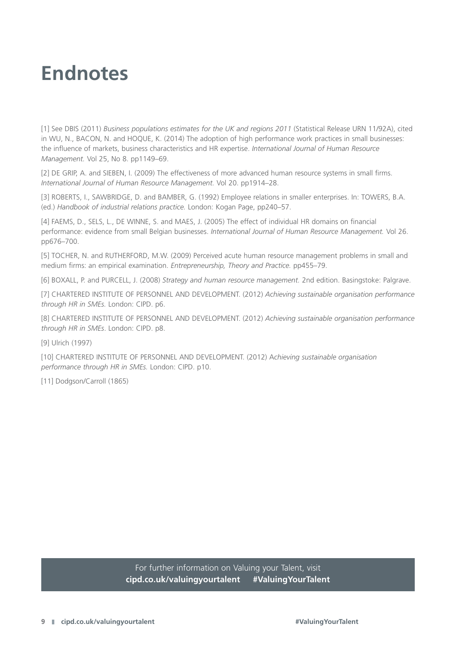# **Endnotes**

[1] See DBIS (2011) *Business populations estimates for the UK and regions 2011* (Statistical Release URN 11/92A), cited in WU, N., BACON, N. and HOQUE, K. (2014) The adoption of high performance work practices in small businesses: the influence of markets, business characteristics and HR expertise. *International Journal of Human Resource Management.* Vol 25, No 8. pp1149–69.

[2] DE GRIP, A. and SIEBEN, I. (2009) The effectiveness of more advanced human resource systems in small firms. *International Journal of Human Resource Management.* Vol 20. pp1914–28.

[3] ROBERTS, I., SAWBRIDGE, D. and BAMBER, G. (1992) Employee relations in smaller enterprises. In: TOWERS, B.A. (ed.) *Handbook of industrial relations practice.* London: Kogan Page, pp240–57.

[4] FAEMS, D., SELS, L., DE WINNE, S. and MAES, J. (2005) The effect of individual HR domains on financial performance: evidence from small Belgian businesses. *International Journal of Human Resource Management.* Vol 26. pp676–700.

[5] TOCHER, N. and RUTHERFORD, M.W. (2009) Perceived acute human resource management problems in small and medium firms: an empirical examination. *Entrepreneurship, Theory and Practice.* pp455–79.

[6] BOXALL, P. and PURCELL, J. (2008) *Strategy and human resource management.* 2nd edition. Basingstoke: Palgrave.

[7] CHARTERED INSTITUTE OF PERSONNEL AND DEVELOPMENT. (2012) *Achieving sustainable organisation performance through HR in SMEs.* London: CIPD. p6.

[8] CHARTERED INSTITUTE OF PERSONNEL AND DEVELOPMENT. (2012) *Achieving sustainable organisation performance through HR in SMEs*. London: CIPD. p8.

[9] Ulrich (1997)

[10] CHARTERED INSTITUTE OF PERSONNEL AND DEVELOPMENT. (2012) A*chieving sustainable organisation performance through HR in SMEs.* London: CIPD. p10.

[11] Dodgson/Carroll (1865)

For further information on Valuing your Talent, visit **cipd.co.uk/valuingyourtalent #ValuingYourTalent**